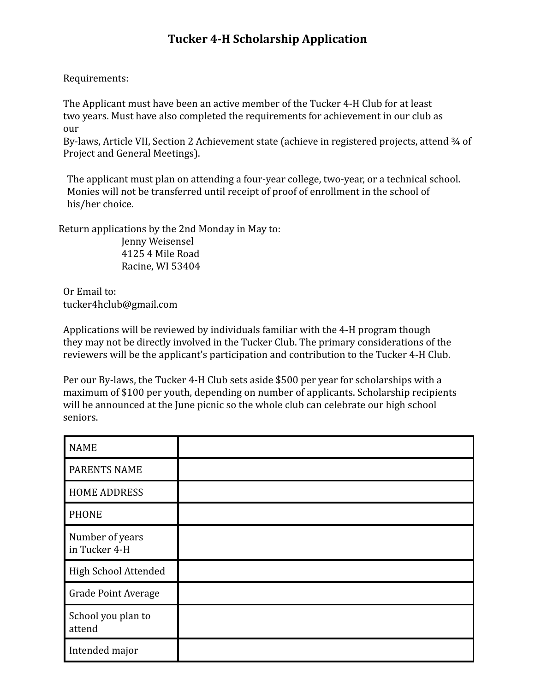# **Tucker 4-H Scholarship Application**

Requirements:

The Applicant must have been an active member of the Tucker 4-H Club for at least two years. Must have also completed the requirements for achievement in our club as our

By-laws, Article VII, Section 2 Achievement state (achieve in registered projects, attend 3/4 of Project and General Meetings).

The applicant must plan on attending a four-year college, two-year, or a technical school. Monies will not be transferred until receipt of proof of enrollment in the school of his/her choice.

Return applications by the 2nd Monday in May to:

Jenny Weisensel 4125 4 Mile Road Racine, WI 53404

Or Email to: tucker4hclub@gmail.com

Applications will be reviewed by individuals familiar with the 4-H program though they may not be directly involved in the Tucker Club. The primary considerations of the reviewers will be the applicant's participation and contribution to the Tucker 4-H Club.

Per our By-laws, the Tucker 4-H Club sets aside \$500 per year for scholarships with a maximum of \$100 per youth, depending on number of applicants. Scholarship recipients will be announced at the June picnic so the whole club can celebrate our high school seniors.

| <b>NAME</b>                      |  |
|----------------------------------|--|
| PARENTS NAME                     |  |
| <b>HOME ADDRESS</b>              |  |
| <b>PHONE</b>                     |  |
| Number of years<br>in Tucker 4-H |  |
| High School Attended             |  |
| <b>Grade Point Average</b>       |  |
| School you plan to<br>attend     |  |
| Intended major                   |  |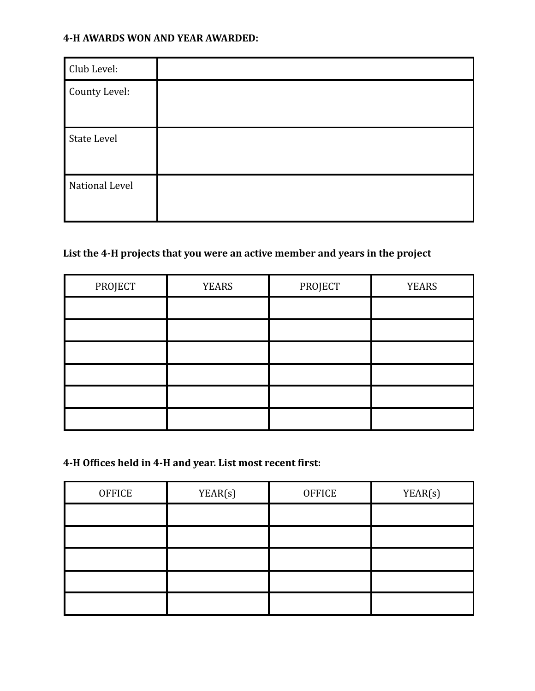#### **4-H AWARDS WON AND YEAR AWARDED:**

| Club Level:        |  |
|--------------------|--|
| County Level:      |  |
| <b>State Level</b> |  |
| National Level     |  |

## **List the 4-H projects that you were an active member and years in the project**

| PROJECT | <b>YEARS</b> | PROJECT | <b>YEARS</b> |
|---------|--------------|---------|--------------|
|         |              |         |              |
|         |              |         |              |
|         |              |         |              |
|         |              |         |              |
|         |              |         |              |
|         |              |         |              |

**4-H Offices held in 4-H and year. List most recent first:**

| <b>OFFICE</b> | YEAR(s) | <b>OFFICE</b> | YEAR(s) |
|---------------|---------|---------------|---------|
|               |         |               |         |
|               |         |               |         |
|               |         |               |         |
|               |         |               |         |
|               |         |               |         |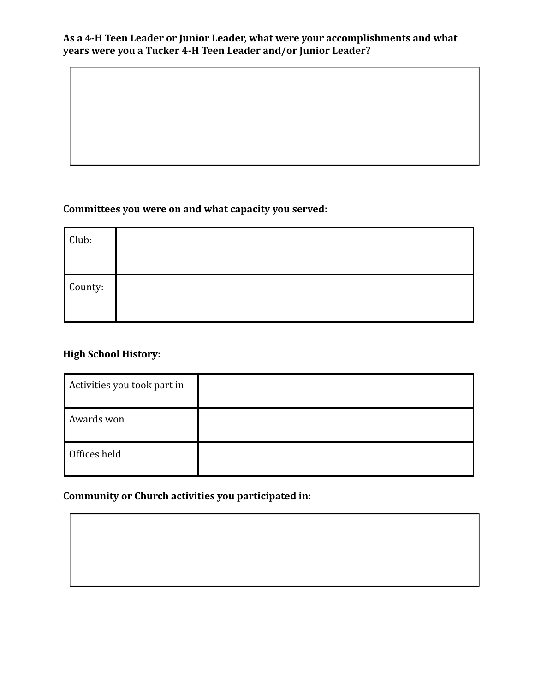#### **As a 4-H Teen Leader or Junior Leader, what were your accomplishments and what years were you a Tucker 4-H Teen Leader and/or Junior Leader?**

## **Committees you were on and what capacity you served:**

| Club:   |  |
|---------|--|
| County: |  |

## **High School History:**

| Activities you took part in |  |
|-----------------------------|--|
| Awards won                  |  |
| Offices held                |  |

## **Community or Church activities you participated in:**